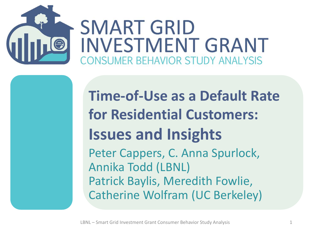

#### **Time-of-Use as a Default Rate for Residential Customers: Issues and Insights**  Peter Cappers, C. Anna Spurlock, Annika Todd (LBNL) Patrick Baylis, Meredith Fowlie, Catherine Wolfram (UC Berkeley)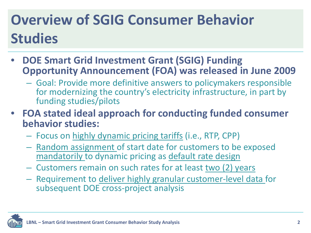## **Overview of SGIG Consumer Behavior Studies**

- **DOE Smart Grid Investment Grant (SGIG) Funding Opportunity Announcement (FOA) was released in June 2009** 
	- Goal: Provide more definitive answers to policymakers responsible for modernizing the country's electricity infrastructure, in part by funding studies/pilots
- **FOA stated ideal approach for conducting funded consumer behavior studies:**
	- Focus on highly dynamic pricing tariffs (i.e., RTP, CPP)
	- Random assignment of start date for customers to be exposed mandatorily to dynamic pricing as default rate design
	- Customers remain on such rates for at least two (2) years
	- Requirement to deliver highly granular customer-level data for subsequent DOE cross-project analysis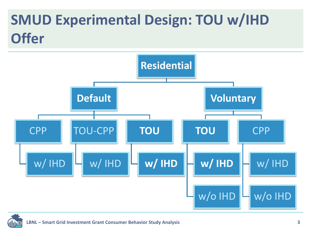#### **SMUD Experimental Design: TOU w/IHD Offer**



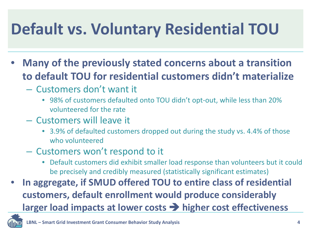# **Default vs. Voluntary Residential TOU**

- **Many of the previously stated concerns about a transition to default TOU for residential customers didn't materialize**
	- Customers don't want it
		- 98% of customers defaulted onto TOU didn't opt-out, while less than 20% volunteered for the rate
	- Customers will leave it
		- 3.9% of defaulted customers dropped out during the study vs. 4.4% of those who volunteered
	- Customers won't respond to it
		- Default customers did exhibit smaller load response than volunteers but it could be precisely and credibly measured (statistically significant estimates)
- **In aggregate, if SMUD offered TOU to entire class of residential customers, default enrollment would produce considerably larger load impacts at lower costs higher cost effectiveness**

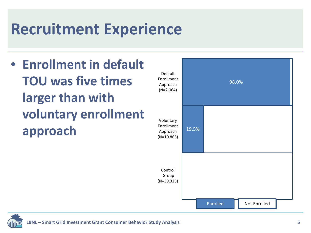# **Recruitment Experience**

• **Enrollment in default TOU was five times larger than with voluntary enrollment approach** Approach 19.5% Voluntary Enrollment Approach (N=10,865) Default Enrollment Approach (N=2,064)



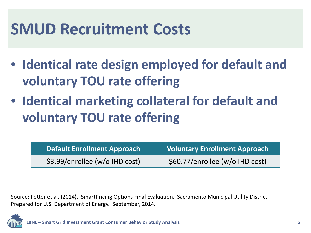#### **SMUD Recruitment Costs**

- **Identical rate design employed for default and voluntary TOU rate offering**
- **Identical marketing collateral for default and voluntary TOU rate offering**

**Default Enrollment Approach Voluntary Enrollment Approach** \$3.99/enrollee (w/o IHD cost) \$60.77/enrollee (w/o IHD cost)

Source: Potter et al. (2014). SmartPricing Options Final Evaluation. Sacramento Municipal Utility District. Prepared for U.S. Department of Energy. September, 2014.

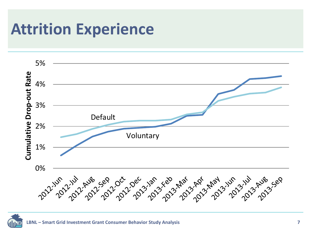## **Attrition Experience**



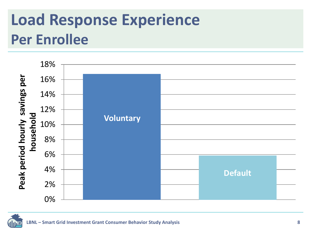# **Load Response Experience Per Enrollee**



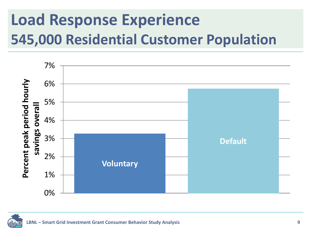# **Load Response Experience 545,000 Residential Customer Population**



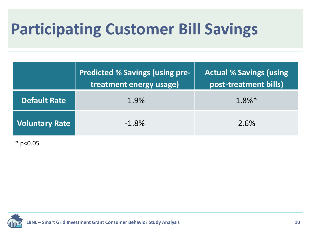# **Participating Customer Bill Savings**

|                       | <b>Predicted % Savings (using pre-)</b><br>treatment energy usage) | <b>Actual % Savings (using)</b><br>post-treatment bills) |
|-----------------------|--------------------------------------------------------------------|----------------------------------------------------------|
| <b>Default Rate</b>   | $-1.9%$                                                            | $1.8\%*$                                                 |
| <b>Voluntary Rate</b> | $-1.8%$                                                            | 2.6%                                                     |

 $*$  p<0.05

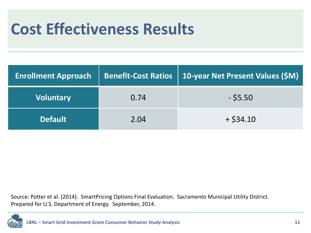# **Cost Effectiveness Results**

| <b>Enrollment Approach</b> | <b>Benefit-Cost Ratios</b> | <b>10-year Net Present Values (\$M)</b> |
|----------------------------|----------------------------|-----------------------------------------|
| <b>Voluntary</b>           | 0.74                       | $-$ \$5.50                              |
| <b>Default</b>             | 2.04                       | $+$ \$34.10                             |

Source: Potter et al. (2014). SmartPricing Options Final Evaluation. Sacramento Municipal Utility District. Prepared for U.S. Department of Energy. September, 2014.

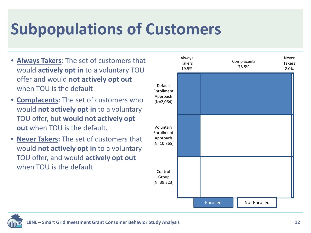# **Subpopulations of Customers**

- **Always Takers**: The set of customers that would **actively opt in** to a voluntary TOU offer and would **not actively opt out**  when TOU is the default
- **Complacents**: The set of customers who would **not actively opt in** to a voluntary TOU offer, but **would not actively opt out** when TOU is the default.
- **Never Takers:** The set of customers that would **not actively opt in** to a voluntary TOU offer, and would **actively opt out**  when TOU is the default



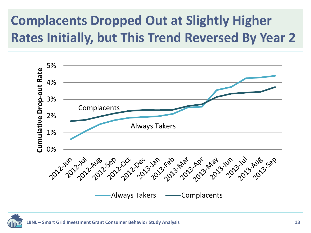#### **Complacents Dropped Out at Slightly Higher Rates Initially, but This Trend Reversed By Year 2**



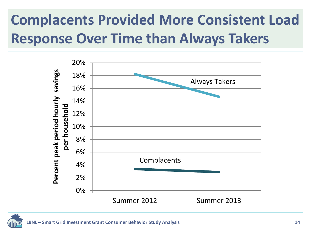### **Complacents Provided More Consistent Load Response Over Time than Always Takers**

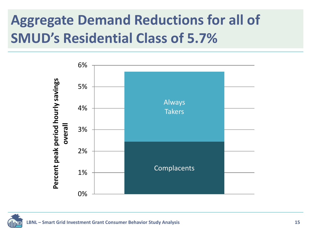#### **Aggregate Demand Reductions for all of SMUD's Residential Class of 5.7%**



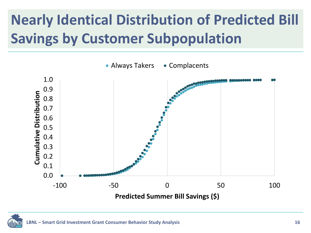## **Nearly Identical Distribution of Predicted Bill Savings by Customer Subpopulation**

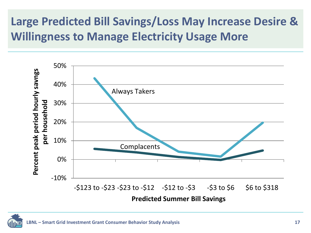#### **Large Predicted Bill Savings/Loss May Increase Desire & Willingness to Manage Electricity Usage More**



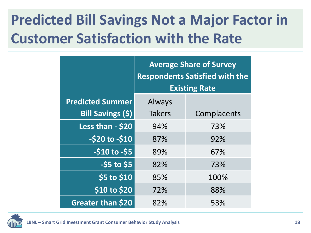#### **Predicted Bill Savings Not a Major Factor in Customer Satisfaction with the Rate**

|                          | <b>Average Share of Survey</b><br><b>Respondents Satisfied with the</b><br><b>Existing Rate</b> |             |
|--------------------------|-------------------------------------------------------------------------------------------------|-------------|
| <b>Predicted Summer</b>  | Always                                                                                          |             |
| Bill Savings (\$)        | <b>Takers</b>                                                                                   | Complacents |
| Less than - \$20         | 94%                                                                                             | 73%         |
| $-520$ to $-510$         | 87%                                                                                             | 92%         |
| $-$10 to -$5$            | 89%                                                                                             | 67%         |
| $-$ \$5 to \$5           | 82%                                                                                             | 73%         |
| \$5 to \$10              | 85%                                                                                             | 100%        |
| \$10 to \$20             | 72%                                                                                             | 88%         |
| <b>Greater than \$20</b> | 82%                                                                                             | 53%         |

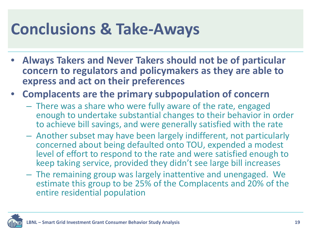## **Conclusions & Take-Aways**

- **Always Takers and Never Takers should not be of particular concern to regulators and policymakers as they are able to express and act on their preferences**
- **Complacents are the primary subpopulation of concern**
	- There was a share who were fully aware of the rate, engaged enough to undertake substantial changes to their behavior in order to achieve bill savings, and were generally satisfied with the rate
	- Another subset may have been largely indifferent, not particularly concerned about being defaulted onto TOU, expended a modest level of effort to respond to the rate and were satisfied enough to keep taking service, provided they didn't see large bill increases
	- The remaining group was largely inattentive and unengaged. We estimate this group to be 25% of the Complacents and 20% of the entire residential population

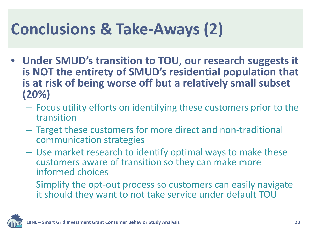# **Conclusions & Take-Aways (2)**

- **Under SMUD's transition to TOU, our research suggests it is NOT the entirety of SMUD's residential population that is at risk of being worse off but a relatively small subset (20%)**
	- Focus utility efforts on identifying these customers prior to the transition
	- Target these customers for more direct and non-traditional communication strategies
	- Use market research to identify optimal ways to make these customers aware of transition so they can make more informed choices
	- Simplify the opt-out process so customers can easily navigate it should they want to not take service under default TOU